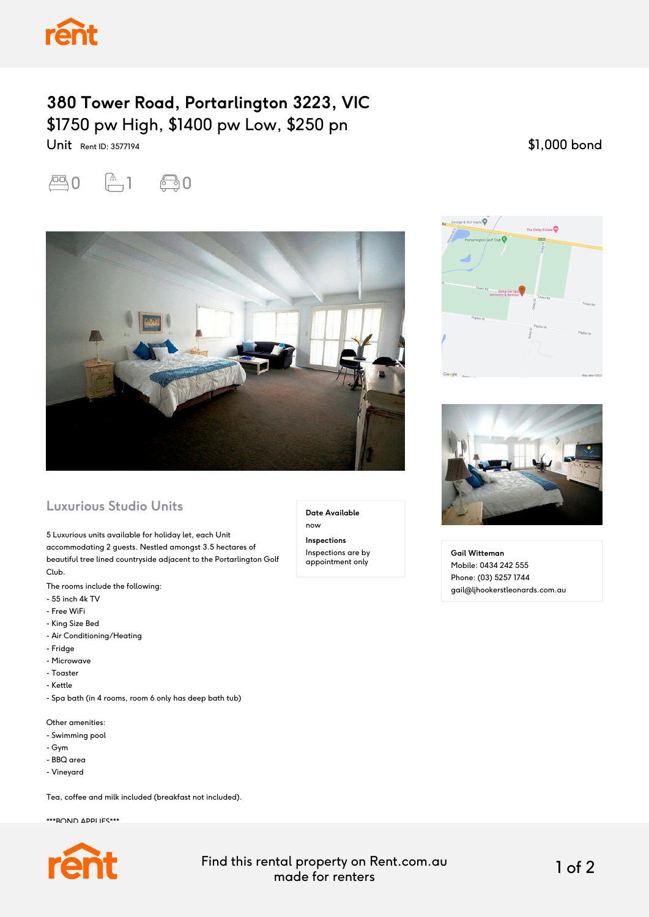

## **380 Tower Road, Portarlington 3223, VIC** \$1750 pw High, \$1400 pw Low, \$250 pn

\$1,000 bond



Unit Rent ID: 3577194



## **Luxurious Studio Units**

5 Luxurious units available for holiday let, each Unit accommodating 2 guests. Nestled amongst 3.5 hectares of beautiful tree lined countryside adjacent to the Portarlington Golf Club.

The rooms include the following:

- 55 inch 4k TV
- Free WiFi
- King Size Bed
- Air Conditioning/Heating
- Fridge
- Microwave
- Toaster
- Kettle
- Spa bath (in 4 rooms, room 6 only has deep bath tub)

Other amenities:

- Swimming pool
- Gym
- BBQ area
- Vineyard

Tea, coffee and milk included (breakfast not included).

\*\*\*ROND APPLIES\*\*\*



**Date Available**

now

**Inspections** Inspections are by appointment only





**Gail Witteman** Mobile: 0434 242 555 Phone: (03) 5257 1744 gail@ljhookerstleonards.com.au

Find this rental property on Rent.com.au made for renters 1 of 2